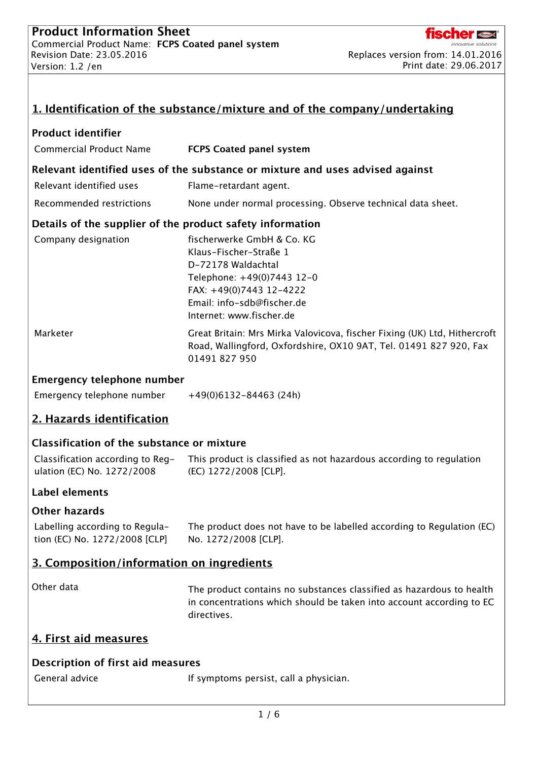

| 1. Identification of the substance/mixture and of the company/undertaking     |                                                                                                                                                                                               |  |  |
|-------------------------------------------------------------------------------|-----------------------------------------------------------------------------------------------------------------------------------------------------------------------------------------------|--|--|
| <b>Product identifier</b>                                                     |                                                                                                                                                                                               |  |  |
| <b>Commercial Product Name</b>                                                | <b>FCPS Coated panel system</b>                                                                                                                                                               |  |  |
| Relevant identified uses of the substance or mixture and uses advised against |                                                                                                                                                                                               |  |  |
| Relevant identified uses                                                      | Flame-retardant agent.                                                                                                                                                                        |  |  |
| Recommended restrictions                                                      | None under normal processing. Observe technical data sheet.                                                                                                                                   |  |  |
| Details of the supplier of the product safety information                     |                                                                                                                                                                                               |  |  |
| Company designation                                                           | fischerwerke GmbH & Co. KG<br>Klaus-Fischer-Straße 1<br>D-72178 Waldachtal<br>Telephone: +49(0)7443 12-0<br>FAX: +49(0)7443 12-4222<br>Email: info-sdb@fischer.de<br>Internet: www.fischer.de |  |  |
| Marketer                                                                      | Great Britain: Mrs Mirka Valovicova, fischer Fixing (UK) Ltd, Hithercroft<br>Road, Wallingford, Oxfordshire, OX10 9AT, Tel. 01491 827 920, Fax<br>01491 827 950                               |  |  |
| <b>Emergency telephone number</b>                                             |                                                                                                                                                                                               |  |  |
| Emergency telephone number                                                    | $+49(0)6132-84463(24h)$                                                                                                                                                                       |  |  |
| 2. Hazards identification                                                     |                                                                                                                                                                                               |  |  |
| <b>Classification of the substance or mixture</b>                             |                                                                                                                                                                                               |  |  |
| ulation (EC) No. 1272/2008                                                    | Classification according to Reg- This product is classified as not hazardous according to regulation<br>(EC) 1272/2008 [CLP].                                                                 |  |  |
| Label elements                                                                |                                                                                                                                                                                               |  |  |
| <b>Other hazards</b>                                                          |                                                                                                                                                                                               |  |  |
| Labelling according to Regula-<br>tion (EC) No. 1272/2008 [CLP]               | The product does not have to be labelled according to Regulation (EC)<br>No. 1272/2008 [CLP].                                                                                                 |  |  |
| 3. Composition/information on ingredients                                     |                                                                                                                                                                                               |  |  |
| Other data                                                                    | The product contains no substances classified as hazardous to health<br>in concentrations which should be taken into account according to EC<br>directives.                                   |  |  |
| 4. First aid measures                                                         |                                                                                                                                                                                               |  |  |
| Description of first aid measures                                             |                                                                                                                                                                                               |  |  |
| General advice                                                                | If symptoms persist, call a physician.                                                                                                                                                        |  |  |
|                                                                               |                                                                                                                                                                                               |  |  |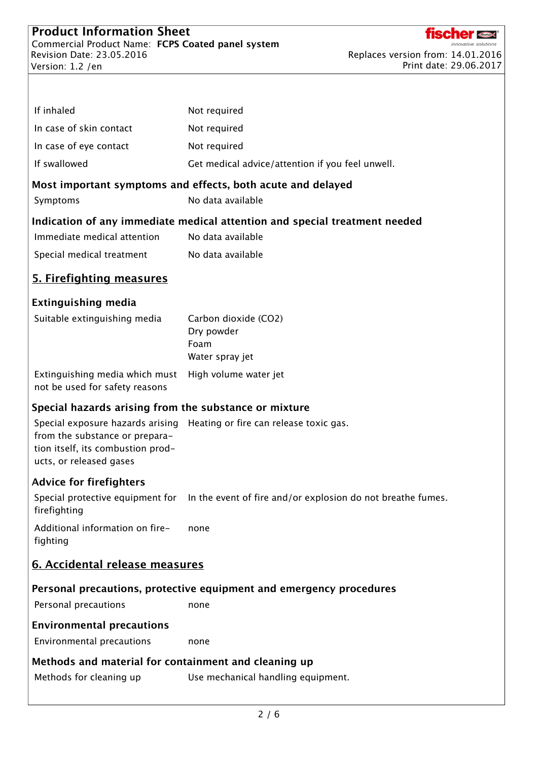

| If inhaled                                                                                              | Not required                                                                                 |
|---------------------------------------------------------------------------------------------------------|----------------------------------------------------------------------------------------------|
| In case of skin contact                                                                                 | Not required                                                                                 |
| In case of eye contact                                                                                  | Not required                                                                                 |
| If swallowed                                                                                            | Get medical advice/attention if you feel unwell.                                             |
|                                                                                                         | Most important symptoms and effects, both acute and delayed                                  |
| Symptoms                                                                                                | No data available                                                                            |
|                                                                                                         | Indication of any immediate medical attention and special treatment needed                   |
| Immediate medical attention                                                                             | No data available                                                                            |
| Special medical treatment                                                                               | No data available                                                                            |
| <b>5. Firefighting measures</b>                                                                         |                                                                                              |
| <b>Extinguishing media</b>                                                                              |                                                                                              |
| Suitable extinguishing media                                                                            | Carbon dioxide (CO2)<br>Dry powder                                                           |
|                                                                                                         | Foam                                                                                         |
|                                                                                                         | Water spray jet                                                                              |
| Extinguishing media which must<br>not be used for safety reasons                                        | High volume water jet                                                                        |
| Special hazards arising from the substance or mixture                                                   |                                                                                              |
| Special exposure hazards arising<br>from the substance or prepara-<br>tion itself, its combustion prod- | Heating or fire can release toxic gas.                                                       |
| ucts, or released gases                                                                                 |                                                                                              |
| <b>Advice for firefighters</b>                                                                          |                                                                                              |
| firefighting                                                                                            | Special protective equipment for In the event of fire and/or explosion do not breathe fumes. |
| Additional information on fire-<br>fighting                                                             | none                                                                                         |
| 6. Accidental release measures                                                                          |                                                                                              |
|                                                                                                         | Personal precautions, protective equipment and emergency procedures                          |
| Personal precautions                                                                                    | none                                                                                         |
| <b>Environmental precautions</b>                                                                        |                                                                                              |
| Environmental precautions                                                                               | none                                                                                         |
| Methods and material for containment and cleaning up                                                    |                                                                                              |
| Methods for cleaning up                                                                                 | Use mechanical handling equipment.                                                           |
|                                                                                                         |                                                                                              |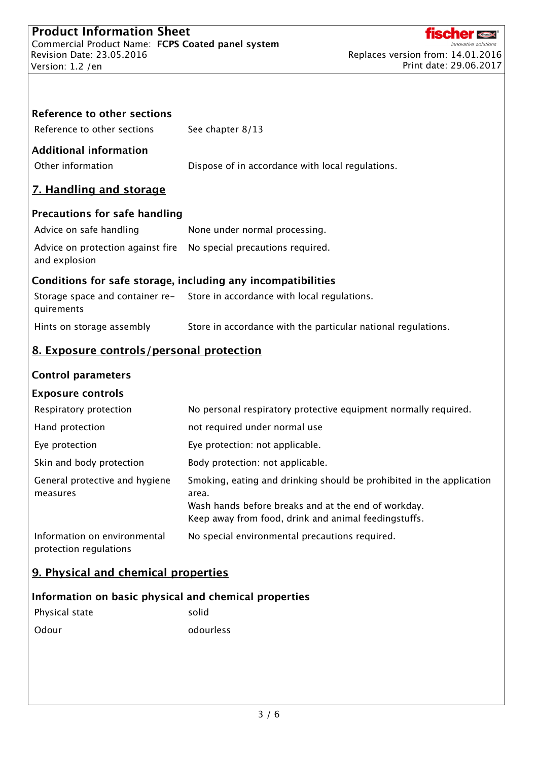

| <b>Reference to other sections</b><br>Reference to other sections | See chapter 8/13                                                                                                                                                                             |
|-------------------------------------------------------------------|----------------------------------------------------------------------------------------------------------------------------------------------------------------------------------------------|
| <b>Additional information</b><br>Other information                | Dispose of in accordance with local regulations.                                                                                                                                             |
| 7. Handling and storage                                           |                                                                                                                                                                                              |
| <b>Precautions for safe handling</b>                              |                                                                                                                                                                                              |
| Advice on safe handling                                           | None under normal processing.                                                                                                                                                                |
| Advice on protection against fire<br>and explosion                | No special precautions required.                                                                                                                                                             |
| Conditions for safe storage, including any incompatibilities      |                                                                                                                                                                                              |
| quirements                                                        | Storage space and container re-<br>Store in accordance with local regulations.                                                                                                               |
| Hints on storage assembly                                         | Store in accordance with the particular national regulations.                                                                                                                                |
| 8. Exposure controls/personal protection                          |                                                                                                                                                                                              |
| <b>Control parameters</b>                                         |                                                                                                                                                                                              |
| <b>Exposure controls</b>                                          |                                                                                                                                                                                              |
| Respiratory protection                                            | No personal respiratory protective equipment normally required.                                                                                                                              |
| Hand protection                                                   | not required under normal use                                                                                                                                                                |
| Eye protection                                                    | Eye protection: not applicable.                                                                                                                                                              |
| Skin and body protection                                          | Body protection: not applicable.                                                                                                                                                             |
| General protective and hygiene<br>measures                        | Smoking, eating and drinking should be prohibited in the application<br>area.<br>Wash hands before breaks and at the end of workday.<br>Keep away from food, drink and animal feedingstuffs. |
| Information on environmental<br>protection regulations            | No special environmental precautions required.                                                                                                                                               |
| 9. Physical and chemical properties                               |                                                                                                                                                                                              |
| Information on basic physical and chemical properties             |                                                                                                                                                                                              |

| Physical state | solid     |
|----------------|-----------|
| Odour          | odourless |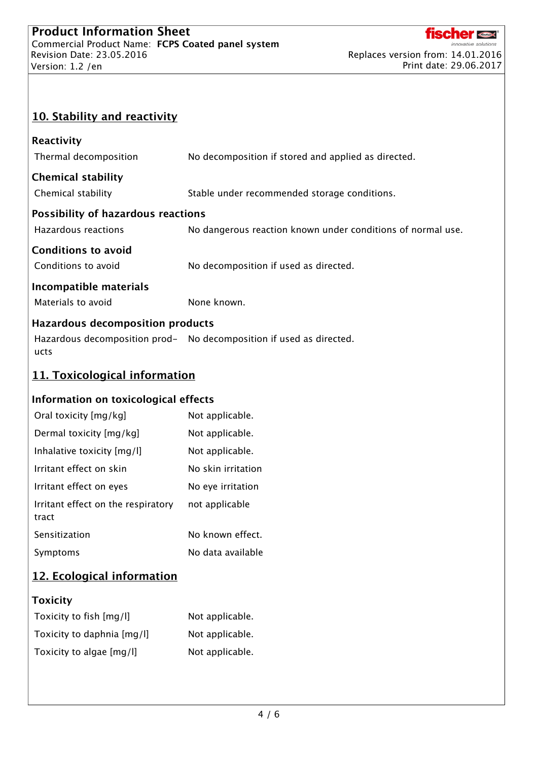

# 10. Stability and reactivity

| Reactivity                                |                                                                     |  |  |
|-------------------------------------------|---------------------------------------------------------------------|--|--|
| Thermal decomposition                     | No decomposition if stored and applied as directed.                 |  |  |
| <b>Chemical stability</b>                 |                                                                     |  |  |
| Chemical stability                        | Stable under recommended storage conditions.                        |  |  |
| <b>Possibility of hazardous reactions</b> |                                                                     |  |  |
| Hazardous reactions                       | No dangerous reaction known under conditions of normal use.         |  |  |
|                                           |                                                                     |  |  |
| <b>Conditions to avoid</b>                |                                                                     |  |  |
| Conditions to avoid                       | No decomposition if used as directed.                               |  |  |
| Incompatible materials                    |                                                                     |  |  |
| Materials to avoid                        | None known.                                                         |  |  |
| <b>Hazardous decomposition products</b>   |                                                                     |  |  |
|                                           | Hazardous decomposition prod- No decomposition if used as directed. |  |  |
| ucts                                      |                                                                     |  |  |
| 11. Toxicological information             |                                                                     |  |  |
| Information on toxicological effects      |                                                                     |  |  |
| Oral toxicity [mg/kg]                     | Not applicable.                                                     |  |  |
| Dermal toxicity [mg/kg]                   | Not applicable.                                                     |  |  |
| Inhalative toxicity [mg/l]                | Not applicable.                                                     |  |  |
| Irritant effect on skin                   | No skin irritation                                                  |  |  |
| Irritant effect on eyes                   | No eye irritation                                                   |  |  |
| Irritant effect on the respiratory        | not applicable                                                      |  |  |
| tract                                     |                                                                     |  |  |
| Sensitization                             | No known effect.                                                    |  |  |
| Symptoms                                  | No data available                                                   |  |  |
| 12. Ecological information                |                                                                     |  |  |
| <b>Toxicity</b>                           |                                                                     |  |  |

| Toxicity to fish [mg/l]    | Not applicable. |
|----------------------------|-----------------|
| Toxicity to daphnia [mg/l] | Not applicable. |
| Toxicity to algae [mg/l]   | Not applicable. |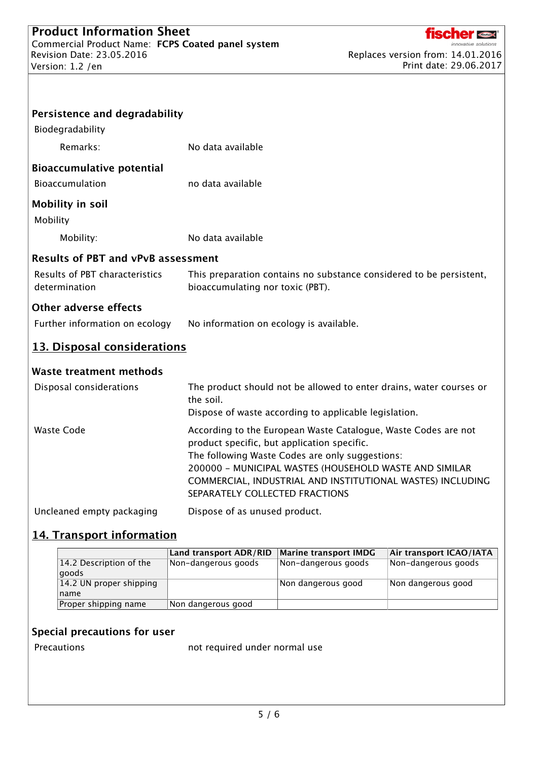

| Persistence and degradability                   |                                                                                                                                                                                                                                                                                                                            |
|-------------------------------------------------|----------------------------------------------------------------------------------------------------------------------------------------------------------------------------------------------------------------------------------------------------------------------------------------------------------------------------|
| Biodegradability                                |                                                                                                                                                                                                                                                                                                                            |
| Remarks:                                        | No data available                                                                                                                                                                                                                                                                                                          |
| <b>Bioaccumulative potential</b>                |                                                                                                                                                                                                                                                                                                                            |
| Bioaccumulation                                 | no data available                                                                                                                                                                                                                                                                                                          |
| <b>Mobility in soil</b><br>Mobility             |                                                                                                                                                                                                                                                                                                                            |
| Mobility:                                       | No data available                                                                                                                                                                                                                                                                                                          |
| <b>Results of PBT and vPvB assessment</b>       |                                                                                                                                                                                                                                                                                                                            |
| Results of PBT characteristics<br>determination | This preparation contains no substance considered to be persistent,<br>bioaccumulating nor toxic (PBT).                                                                                                                                                                                                                    |
| <b>Other adverse effects</b>                    |                                                                                                                                                                                                                                                                                                                            |
| Further information on ecology                  | No information on ecology is available.                                                                                                                                                                                                                                                                                    |
| 13. Disposal considerations                     |                                                                                                                                                                                                                                                                                                                            |
| <b>Waste treatment methods</b>                  |                                                                                                                                                                                                                                                                                                                            |
| Disposal considerations                         | The product should not be allowed to enter drains, water courses or<br>the soil.<br>Dispose of waste according to applicable legislation.                                                                                                                                                                                  |
| <b>Waste Code</b>                               | According to the European Waste Catalogue, Waste Codes are not<br>product specific, but application specific.<br>The following Waste Codes are only suggestions:<br>200000 - MUNICIPAL WASTES (HOUSEHOLD WASTE AND SIMILAR<br>COMMERCIAL, INDUSTRIAL AND INSTITUTIONAL WASTES) INCLUDING<br>SEPARATELY COLLECTED FRACTIONS |
| Uncleaned empty packaging                       | Dispose of as unused product.                                                                                                                                                                                                                                                                                              |

## 14. Transport information

|                         | <b>Land transport ADR/RID</b> | <b>Marine transport IMDG</b> | Air transport ICAO/IATA |
|-------------------------|-------------------------------|------------------------------|-------------------------|
| 14.2 Description of the | Non-dangerous goods           | Non-dangerous goods          | Non-dangerous goods     |
| qoods                   |                               |                              |                         |
| 14.2 UN proper shipping |                               | Non dangerous good           | Non dangerous good      |
| name                    |                               |                              |                         |
| Proper shipping name    | Non dangerous good            |                              |                         |

## Special precautions for user

Precautions **not required under normal use**